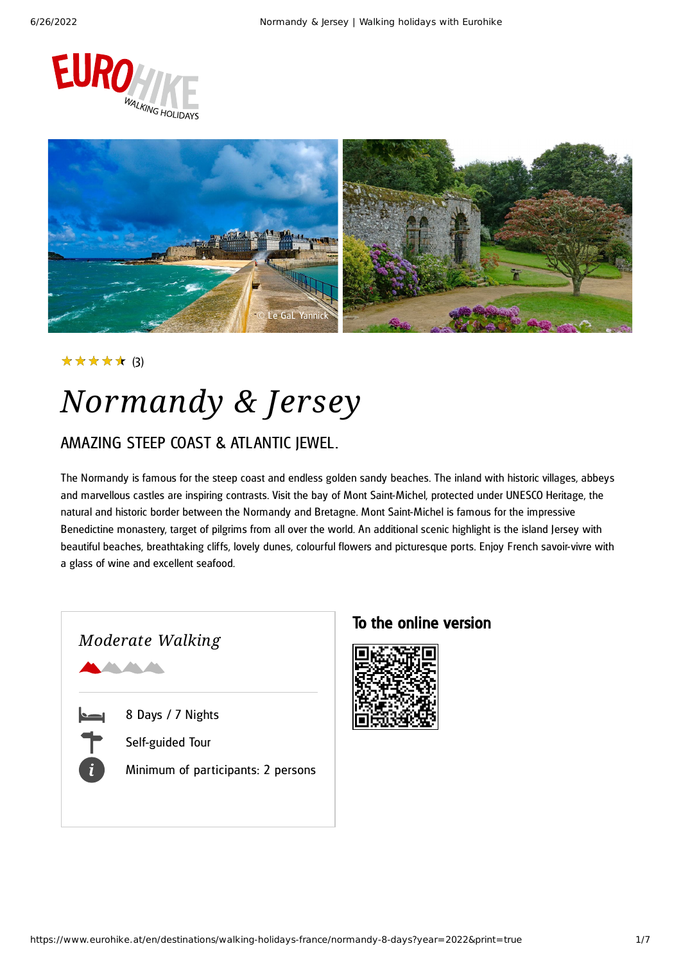



### ★★★★★ (3)

## *Normandy & Jersey*

### AMAZING STEEP COAST & ATLANTIC JEWEL.

The Normandy is famous for the steep coast and endless golden sandy beaches. The inland with historic villages, abbeys and marvellous castles are inspiring contrasts. Visit the bay of Mont Saint-Michel, protected under UNESCO Heritage, the natural and historic border between the Normandy and Bretagne. Mont Saint-Michel is famous for the impressive Benedictine monastery, target of pilgrims from all over the world. An additional scenic highlight is the island Jersey with beautiful beaches, breathtaking cliffs, lovely dunes, colourful flowers and picturesque ports. Enjoy French savoir-vivre with a glass of wine and excellent seafood.



### To the online version

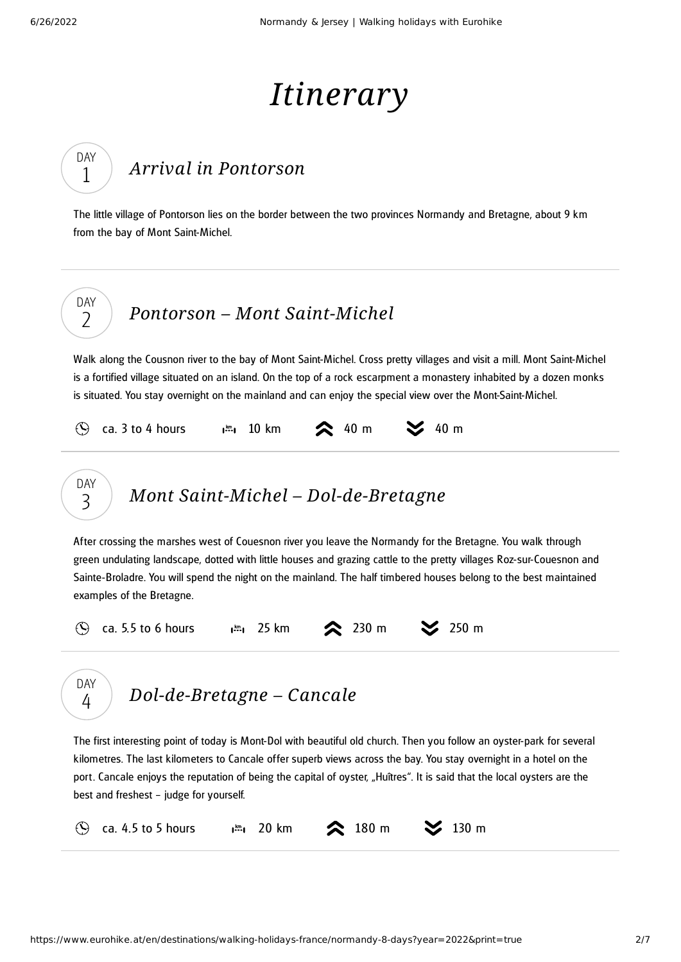# *Itinerary*

### *Arrival in [Pontorson](#page-1-0)*

<span id="page-1-0"></span>The little village of Pontorson lies on the border between the two provinces Normandy and Bretagne, about 9 km from the bay of Mont Saint-Michel.



DAY 1

### *Pontorson – Mont [Saint-Michel](#page-1-1)*

<span id="page-1-1"></span>Walk along the Cousnon river to the bay of Mont Saint-Michel. Cross pretty villages and visit a mill. Mont Saint-Michel is a fortified village situated on an island. On the top of a rock escarpment a monastery inhabited by a dozen monks is situated. You stay overnight on the mainland and can enjoy the special view over the Mont-Saint-Michel.

| $\circledS$ ca. 3 to 4 hours |  |  | $\frac{1}{2}$ 10 km $\approx$ 40 m $\approx$ 40 m |  |
|------------------------------|--|--|---------------------------------------------------|--|
|                              |  |  |                                                   |  |



*Mont Saint-Michel – [Dol-de-Bretagne](#page-1-2)*

<span id="page-1-2"></span>After crossing the marshes west of Couesnon river you leave the Normandy for the Bretagne. You walk through green undulating landscape, dotted with little houses and grazing cattle to the pretty villages Roz-sur-Couesnon and Sainte-Broladre. You will spend the night on the mainland. The half timbered houses belong to the best maintained examples of the Bretagne.





*[Dol-de-Bretagne](#page-1-3) – Cancale*

<span id="page-1-3"></span>The first interesting point of today is Mont-Dol with beautiful old church. Then you follow an oyster-park for several kilometres. The last kilometers to Cancale offer superb views across the bay. You stay overnight in a hotel on the port. Cancale enjoys the reputation of being the capital of oyster, "Huîtres". It is said that the local oysters are the best and freshest – judge for yourself.

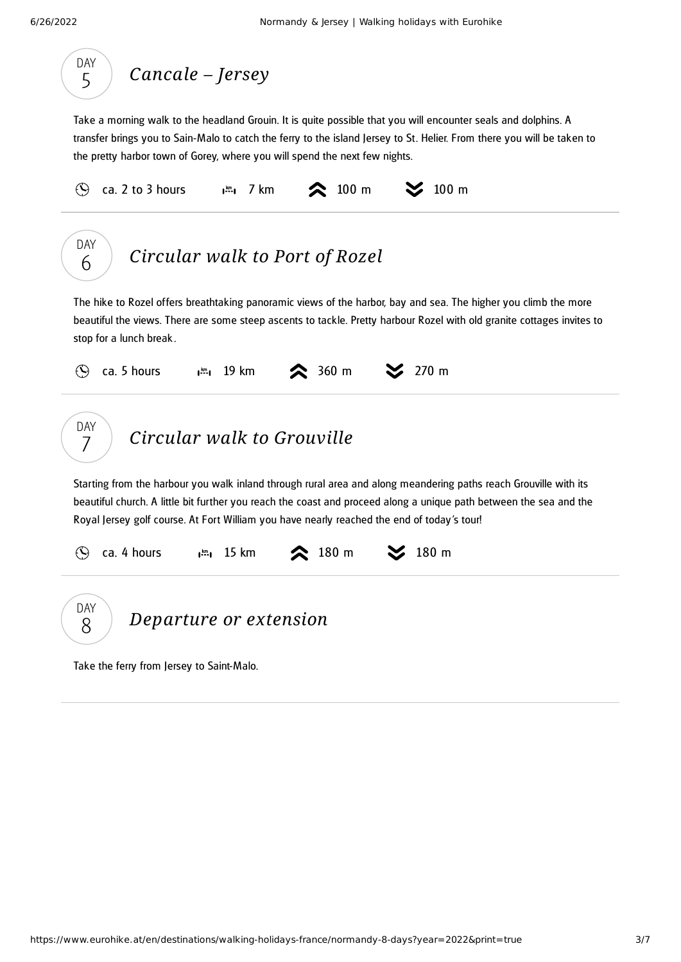<span id="page-2-3"></span><span id="page-2-2"></span><span id="page-2-1"></span><span id="page-2-0"></span>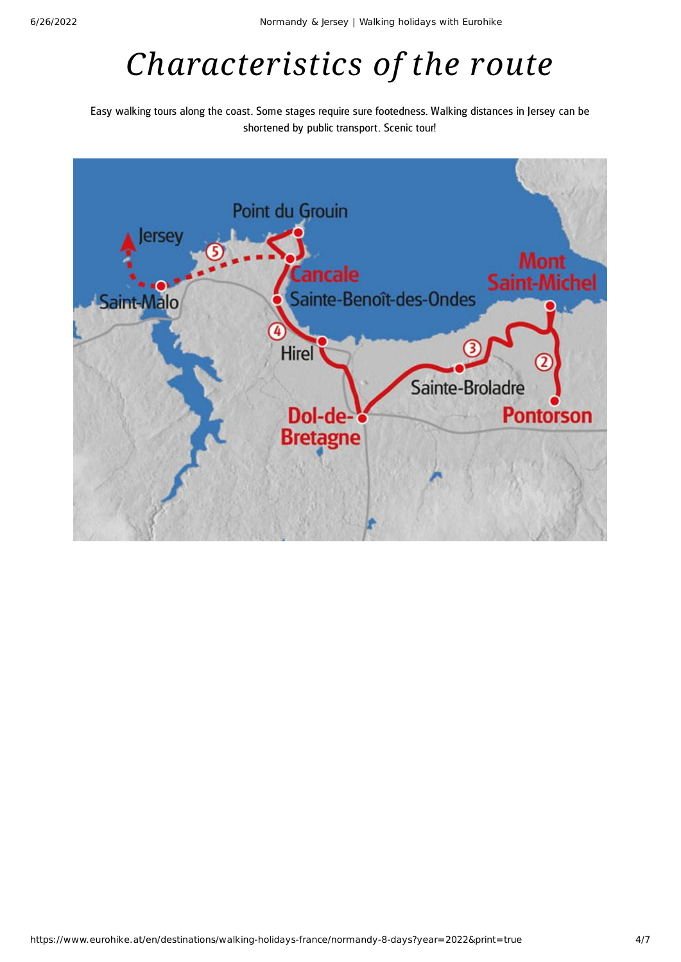# *Characteristics of the route*

Easy walking tours along the coast. Some stages require sure footedness. Walking distances in Jersey can be shortened by public transport. Scenic tour!

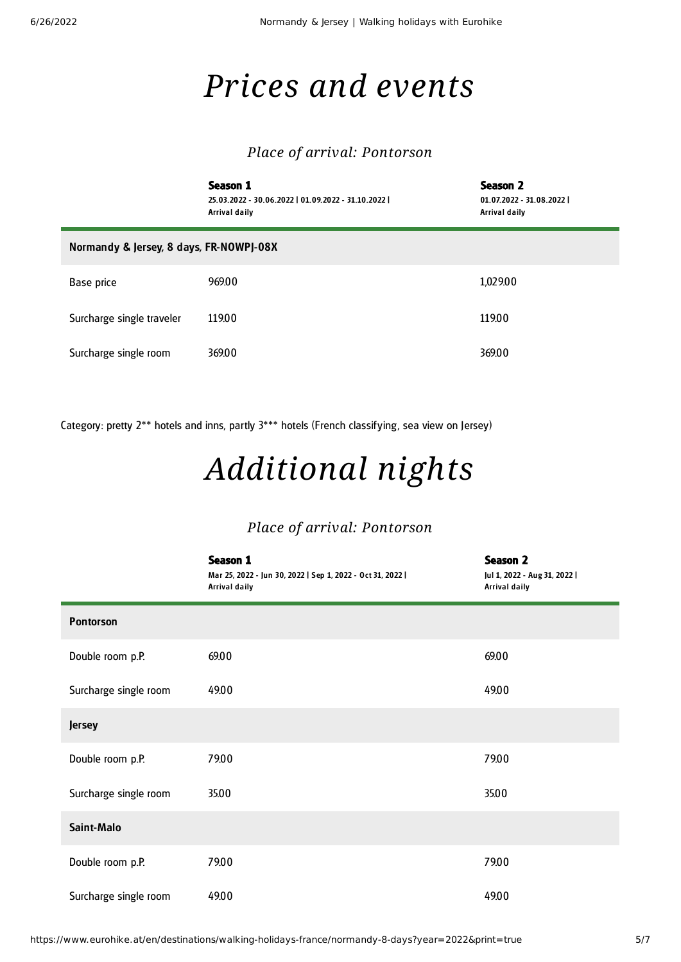## *Prices and events*

### *Place of arrival: Pontorson*

|                                         | Season 1<br>25.03.2022 - 30.06.2022   01.09.2022 - 31.10.2022  <br>Arrival daily | Season 2<br>01.07.2022 - 31.08.2022  <br>Arrival daily |  |  |  |
|-----------------------------------------|----------------------------------------------------------------------------------|--------------------------------------------------------|--|--|--|
| Normandy & Jersey, 8 days, FR-NOWPJ-08X |                                                                                  |                                                        |  |  |  |
| Base price                              | 969.00                                                                           | 1,029.00                                               |  |  |  |
| Surcharge single traveler               | 119.00                                                                           | 119.00                                                 |  |  |  |
| Surcharge single room                   | 369.00                                                                           | 369.00                                                 |  |  |  |

Category: pretty 2<sup>\*\*</sup> hotels and inns, partly 3<sup>\*\*\*</sup> hotels (French classifying, sea view on Jersey)

# *Additional nights*

### *Place of arrival: Pontorson*

|                       | Season 1<br>Mar 25, 2022 - Jun 30, 2022   Sep 1, 2022 - Oct 31, 2022  <br><b>Arrival daily</b> | Season 2<br>Jul 1, 2022 - Aug 31, 2022  <br><b>Arrival daily</b> |
|-----------------------|------------------------------------------------------------------------------------------------|------------------------------------------------------------------|
| <b>Pontorson</b>      |                                                                                                |                                                                  |
| Double room p.P.      | 69.00                                                                                          | 69.00                                                            |
| Surcharge single room | 49.00                                                                                          | 49.00                                                            |
| Jersey                |                                                                                                |                                                                  |
| Double room p.P.      | 79.00                                                                                          | 79.00                                                            |
| Surcharge single room | 35.00                                                                                          | 35.00                                                            |
| Saint-Malo            |                                                                                                |                                                                  |
| Double room p.P.      | 79.00                                                                                          | 79.00                                                            |
| Surcharge single room | 49.00                                                                                          | 49.00                                                            |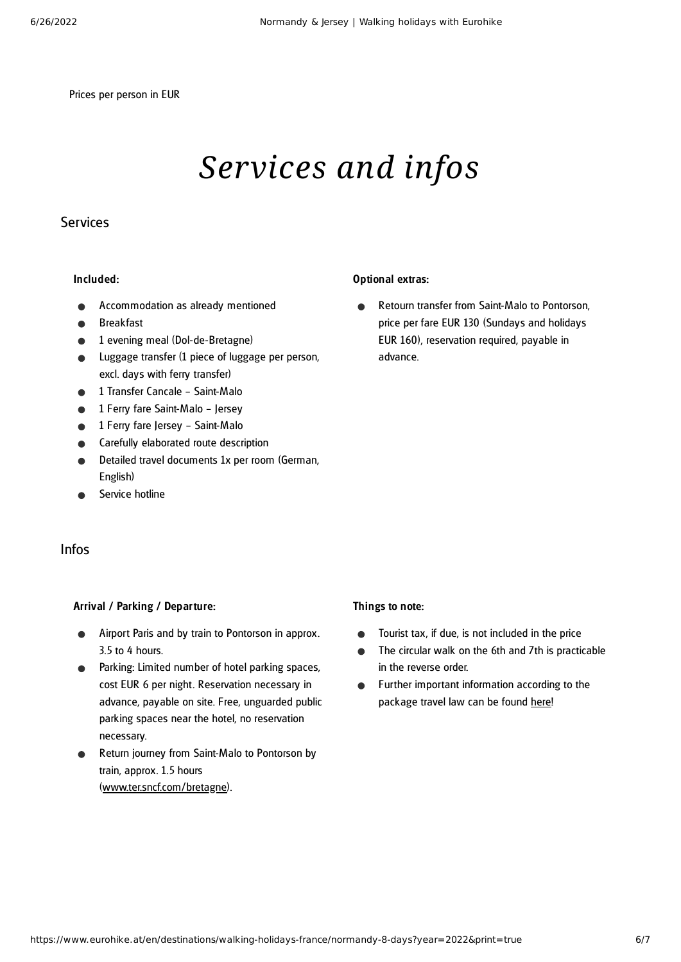Prices per person in EUR

### *Services and infos*

### Services

#### Included:

- Accommodation as already mentioned
- Breakfast
- 1 evening meal (Dol-de-Bretagne)
- Luggage transfer (1 piece of luggage per person, excl. days with ferry transfer)
- 1 Transfer Cancale Saint-Malo
- 1 Ferry fare Saint-Malo Jersey
- 1 Ferry fare Jersey Saint-Malo
- Carefully elaborated route description
- Detailed travel documents 1x per room (German, English)
- Service hotline

### Infos

#### Arrival / Parking / Departure:

- Airport Paris and by train to Pontorson in approx.  $\bullet$ 3.5 to 4 hours.
- Parking: Limited number of hotel parking spaces, cost EUR 6 per night. Reservation necessary in advance, payable on site. Free, unguarded public parking spaces near the hotel, no reservation necessary.
- Return journey from Saint-Malo to Pontorson by train, approx. 1.5 hours ([www.ter.sncf.com/bretagne\)](http://www.ter.sncf.com/bretagne).

#### Optional extras:

Retourn transfer from Saint-Malo to Pontorson,  $\bullet$ price per fare EUR 130 (Sundays and holidays EUR 160), reservation required, payable in advance.

#### Things to note:

- Tourist tax, if due, is not included in the price  $\bullet$
- The circular walk on the 6th and 7th is practicable  $\bullet$ in the reverse order.
- Further important information according to the  $\bullet$ package travel law can be found [here](https://www.eurohike.at/en/travel-information/before-the-tour/pci)!